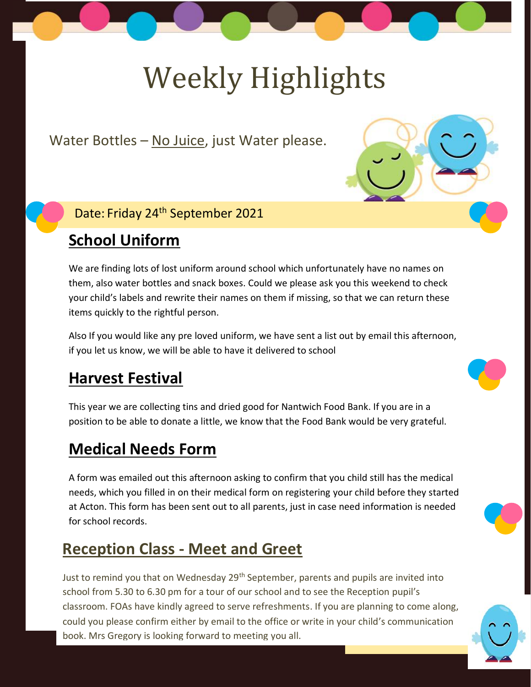# Weekly Highlights

Water Bottles – No Juice, just Water please.

#### Date: Friday 24<sup>th</sup> September 2021

## **School Uniform**

We are finding lots of lost uniform around school which unfortunately have no names on them, also water bottles and snack boxes. Could we please ask you this weekend to check your child's labels and rewrite their names on them if missing, so that we can return these items quickly to the rightful person.

Also If you would like any pre loved uniform, we have sent a list out by email this afternoon, if you let us know, we will be able to have it delivered to school

### **Harvest Festival**

This year we are collecting tins and dried good for Nantwich Food Bank. If you are in a position to be able to donate a little, we know that the Food Bank would be very grateful.

### **Medical Needs Form**

A form was emailed out this afternoon asking to confirm that you child still has the medical needs, which you filled in on their medical form on registering your child before they started at Acton. This form has been sent out to all parents, just in case need information is needed for school records.

## **Reception Class - Meet and Greet**

Just to remind you that on Wednesday 29<sup>th</sup> September, parents and pupils are invited into school from 5.30 to 6.30 pm for a tour of our school and to see the Reception pupil's classroom. FOAs have kindly agreed to serve refreshments. If you are planning to come along, could you please confirm either by email to the office or write in your child's communication book. Mrs Gregory is looking forward to meeting you all.